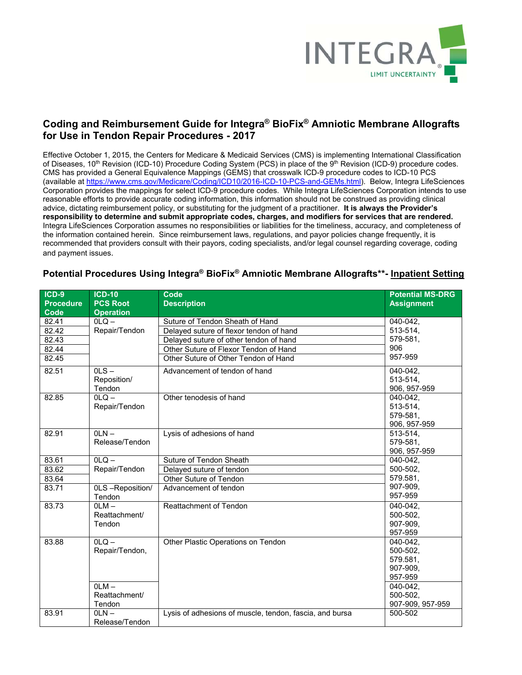

## **Coding and Reimbursement Guide for Integra® BioFix® Amniotic Membrane Allografts for Use in Tendon Repair Procedures - 2017**

Effective October 1, 2015, the Centers for Medicare & Medicaid Services (CMS) is implementing International Classification of Diseases, 10<sup>th</sup> Revision (ICD-10) Procedure Coding System (PCS) in place of the 9<sup>th</sup> Revision (ICD-9) procedure codes. CMS has provided a General Equivalence Mappings (GEMS) that crosswalk ICD-9 procedure codes to ICD-10 PCS (available at https://www.cms.gov/Medicare/Coding/ICD10/2016-ICD-10-PCS-and-GEMs.html). Below, Integra LifeSciences Corporation provides the mappings for select ICD-9 procedure codes. While Integra LifeSciences Corporation intends to use reasonable efforts to provide accurate coding information, this information should not be construed as providing clinical advice, dictating reimbursement policy, or substituting for the judgment of a practitioner. **It is always the Provider's responsibility to determine and submit appropriate codes, charges, and modifiers for services that are rendered.** Integra LifeSciences Corporation assumes no responsibilities or liabilities for the timeliness, accuracy, and completeness of the information contained herein. Since reimbursement laws, regulations, and payor policies change frequently, it is recommended that providers consult with their payors, coding specialists, and/or legal counsel regarding coverage, coding and payment issues.

| $ICD-9$          | <b>ICD-10</b>    | Code                                                    | <b>Potential MS-DRG</b> |
|------------------|------------------|---------------------------------------------------------|-------------------------|
| <b>Procedure</b> | <b>PCS Root</b>  | <b>Description</b>                                      | <b>Assignment</b>       |
| Code             | <b>Operation</b> |                                                         |                         |
| 82.41            | $OLO -$          | Suture of Tendon Sheath of Hand                         | 040-042,                |
| 82.42            | Repair/Tendon    | Delayed suture of flexor tendon of hand                 | 513-514,                |
| 82.43            |                  | Delayed suture of other tendon of hand                  | 579-581,                |
| 82.44            |                  | Other Suture of Flexor Tendon of Hand                   | 906                     |
| 82.45            |                  | Other Suture of Other Tendon of Hand                    | 957-959                 |
| 82.51            | $0LS -$          | Advancement of tendon of hand                           | 040-042,                |
|                  | Reposition/      |                                                         | 513-514.                |
|                  | Tendon           |                                                         | 906, 957-959            |
| 82.85            | $OLQ -$          | Other tenodesis of hand                                 | 040-042,                |
|                  | Repair/Tendon    |                                                         | 513-514.                |
|                  |                  |                                                         | 579-581,                |
|                  |                  |                                                         | 906, 957-959            |
| 82.91            | $OLN -$          | Lysis of adhesions of hand                              | 513-514,                |
|                  | Release/Tendon   |                                                         | 579-581,                |
|                  |                  |                                                         | 906, 957-959            |
| 83.61            | $OLQ -$          | Suture of Tendon Sheath                                 | $040 - 042$             |
| 83.62            | Repair/Tendon    | Delayed suture of tendon                                | 500-502,                |
| 83.64            |                  | Other Suture of Tendon                                  | 579.581,                |
| 83.71            | 0LS-Reposition/  | Advancement of tendon                                   | 907-909,                |
|                  | Tendon           |                                                         | 957-959                 |
| 83.73            | $OLM -$          | <b>Reattachment of Tendon</b>                           | 040-042.                |
|                  | Reattachment/    |                                                         | 500-502.                |
|                  | Tendon           |                                                         | 907-909,                |
|                  |                  |                                                         | 957-959                 |
| 83.88            | $OLQ -$          | Other Plastic Operations on Tendon                      | 040-042.                |
|                  | Repair/Tendon,   |                                                         | 500-502,                |
|                  |                  |                                                         | 579.581,                |
|                  |                  |                                                         | 907-909,                |
|                  |                  |                                                         | 957-959                 |
|                  | $OLM -$          |                                                         | 040-042.                |
|                  | Reattachment/    |                                                         | 500-502,                |
|                  | Tendon           |                                                         | 907-909, 957-959        |
| 83.91            | $OLN -$          | Lysis of adhesions of muscle, tendon, fascia, and bursa | 500-502                 |
|                  | Release/Tendon   |                                                         |                         |

## **Potential Procedures Using Integra® BioFix® Amniotic Membrane Allografts\*\*- Inpatient Setting**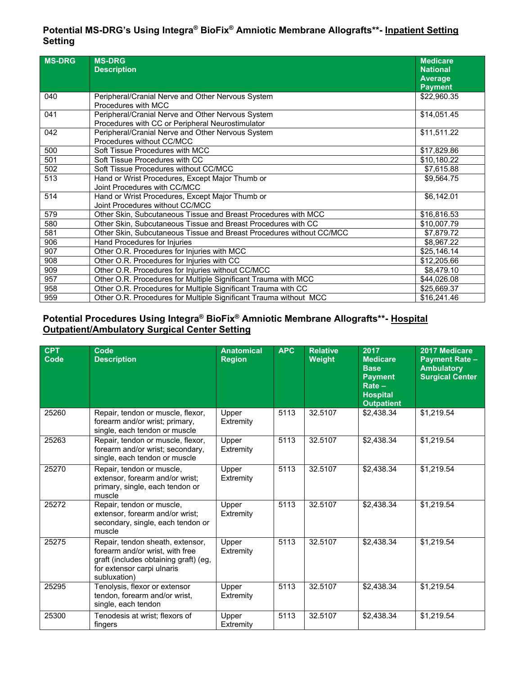# **Potential MS-DRG's Using Integra® BioFix® Amniotic Membrane Allografts\*\*- Inpatient Setting Setting**

| <b>MS-DRG</b> | <b>MS-DRG</b><br><b>Description</b>                                                                   | <b>Medicare</b><br><b>National</b><br><b>Average</b><br><b>Payment</b> |
|---------------|-------------------------------------------------------------------------------------------------------|------------------------------------------------------------------------|
| 040           | Peripheral/Cranial Nerve and Other Nervous System<br>Procedures with MCC                              | \$22,960.35                                                            |
| 041           | Peripheral/Cranial Nerve and Other Nervous System<br>Procedures with CC or Peripheral Neurostimulator | \$14,051.45                                                            |
| 042           | Peripheral/Cranial Nerve and Other Nervous System<br>Procedures without CC/MCC                        | \$11,511.22                                                            |
| 500           | Soft Tissue Procedures with MCC                                                                       | \$17,829.86                                                            |
| 501           | Soft Tissue Procedures with CC                                                                        | \$10,180.22                                                            |
| 502           | Soft Tissue Procedures without CC/MCC                                                                 | \$7,615.88                                                             |
| 513           | Hand or Wrist Procedures, Except Major Thumb or<br>Joint Procedures with CC/MCC                       | \$9,564.75                                                             |
| 514           | Hand or Wrist Procedures, Except Major Thumb or<br>Joint Procedures without CC/MCC                    | \$6,142.01                                                             |
| 579           | Other Skin, Subcutaneous Tissue and Breast Procedures with MCC                                        | \$16,816.53                                                            |
| 580           | Other Skin, Subcutaneous Tissue and Breast Procedures with CC                                         | \$10,007.79                                                            |
| 581           | Other Skin, Subcutaneous Tissue and Breast Procedures without CC/MCC                                  | \$7,879.72                                                             |
| 906           | Hand Procedures for Injuries                                                                          | \$8,967.22                                                             |
| 907           | Other O.R. Procedures for Injuries with MCC                                                           | \$25,146.14                                                            |
| 908           | Other O.R. Procedures for Injuries with CC                                                            | \$12,205.66                                                            |
| 909           | Other O.R. Procedures for Injuries without CC/MCC                                                     | \$8,479.10                                                             |
| 957           | Other O.R. Procedures for Multiple Significant Trauma with MCC                                        | \$44,026.08                                                            |
| 958           | Other O.R. Procedures for Multiple Significant Trauma with CC                                         | \$25,669.37                                                            |
| 959           | Other O.R. Procedures for Multiple Significant Trauma without MCC                                     | \$16,241.46                                                            |

### **Potential Procedures Using Integra® BioFix® Amniotic Membrane Allografts\*\*- Hospital Outpatient/Ambulatory Surgical Center Setting**

| <b>CPT</b><br>Code | Code<br><b>Description</b>                                                                                                                                 | <b>Anatomical</b><br><b>Region</b> | <b>APC</b> | <b>Relative</b><br>Weight | 2017<br><b>Medicare</b><br><b>Base</b><br><b>Payment</b><br>$Rate -$<br><b>Hospital</b><br><b>Outpatient</b> | 2017 Medicare<br><b>Payment Rate -</b><br><b>Ambulatory</b><br><b>Surgical Center</b> |
|--------------------|------------------------------------------------------------------------------------------------------------------------------------------------------------|------------------------------------|------------|---------------------------|--------------------------------------------------------------------------------------------------------------|---------------------------------------------------------------------------------------|
| 25260              | Repair, tendon or muscle, flexor,<br>forearm and/or wrist; primary,<br>single, each tendon or muscle                                                       | Upper<br>Extremity                 | 5113       | 32.5107                   | \$2,438.34                                                                                                   | \$1,219.54                                                                            |
| 25263              | Repair, tendon or muscle, flexor,<br>forearm and/or wrist; secondary,<br>single, each tendon or muscle                                                     | Upper<br>Extremity                 | 5113       | 32.5107                   | \$2,438.34                                                                                                   | \$1,219.54                                                                            |
| 25270              | Repair, tendon or muscle,<br>extensor, forearm and/or wrist;<br>primary, single, each tendon or<br>muscle                                                  | Upper<br>Extremity                 | 5113       | 32.5107                   | \$2,438.34                                                                                                   | \$1,219.54                                                                            |
| 25272              | Repair, tendon or muscle,<br>extensor, forearm and/or wrist;<br>secondary, single, each tendon or<br>muscle                                                | Upper<br>Extremity                 | 5113       | 32.5107                   | \$2,438.34                                                                                                   | \$1,219.54                                                                            |
| 25275              | Repair, tendon sheath, extensor,<br>forearm and/or wrist, with free<br>graft (includes obtaining graft) (eg,<br>for extensor carpi ulnaris<br>subluxation) | Upper<br>Extremity                 | 5113       | 32.5107                   | \$2,438.34                                                                                                   | \$1,219.54                                                                            |
| 25295              | Tenolysis, flexor or extensor<br>tendon, forearm and/or wrist,<br>single, each tendon                                                                      | Upper<br>Extremity                 | 5113       | 32.5107                   | \$2,438.34                                                                                                   | \$1,219.54                                                                            |
| 25300              | Tenodesis at wrist; flexors of<br>fingers                                                                                                                  | Upper<br>Extremity                 | 5113       | 32.5107                   | \$2,438.34                                                                                                   | \$1,219.54                                                                            |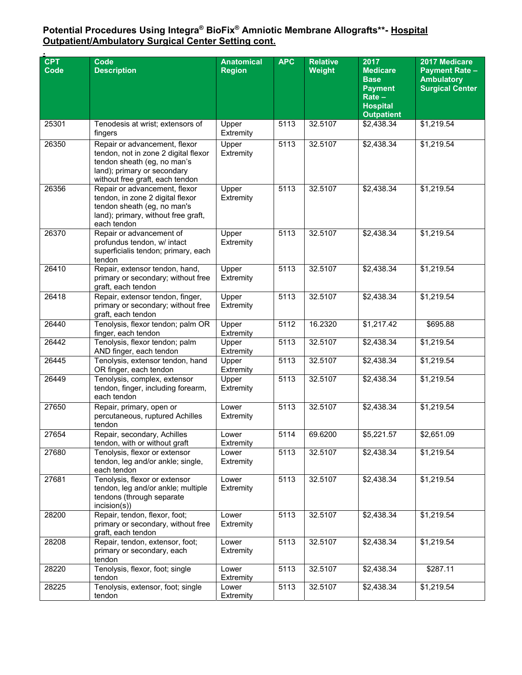#### **Potential Procedures Using Integra® BioFix® Amniotic Membrane Allografts\*\*- Hospital Outpatient/Ambulatory Surgical Center Setting cont.**

| <b>CPT</b><br>Code | Code<br><b>Description</b>                                                                                                                                             | <b>Anatomical</b><br>Region | <b>APC</b> | <b>Relative</b><br>Weight | 2017<br><b>Medicare</b><br><b>Base</b><br><b>Payment</b><br>$Rate -$<br><b>Hospital</b><br><b>Outpatient</b> | 2017 Medicare<br><b>Payment Rate -</b><br><b>Ambulatory</b><br><b>Surgical Center</b> |
|--------------------|------------------------------------------------------------------------------------------------------------------------------------------------------------------------|-----------------------------|------------|---------------------------|--------------------------------------------------------------------------------------------------------------|---------------------------------------------------------------------------------------|
| 25301              | Tenodesis at wrist; extensors of<br>fingers                                                                                                                            | Upper<br>Extremity          | 5113       | 32.5107                   | \$2,438.34                                                                                                   | \$1,219.54                                                                            |
| 26350              | Repair or advancement, flexor<br>tendon, not in zone 2 digital flexor<br>tendon sheath (eg, no man's<br>land); primary or secondary<br>without free graft, each tendon | Upper<br>Extremity          | 5113       | 32.5107                   | \$2,438.34                                                                                                   | \$1,219.54                                                                            |
| 26356              | Repair or advancement, flexor<br>tendon, in zone 2 digital flexor<br>tendon sheath (eg, no man's<br>land); primary, without free graft,<br>each tendon                 | Upper<br>Extremity          | 5113       | 32.5107                   | \$2,438.34                                                                                                   | \$1,219.54                                                                            |
| 26370              | Repair or advancement of<br>profundus tendon, w/ intact<br>superficialis tendon; primary, each<br>tendon                                                               | Upper<br>Extremity          | 5113       | 32.5107                   | \$2,438.34                                                                                                   | \$1,219.54                                                                            |
| 26410              | Repair, extensor tendon, hand,<br>primary or secondary; without free<br>graft, each tendon                                                                             | Upper<br>Extremity          | 5113       | 32.5107                   | \$2,438.34                                                                                                   | \$1,219.54                                                                            |
| 26418              | Repair, extensor tendon, finger,<br>primary or secondary; without free<br>graft, each tendon                                                                           | Upper<br>Extremity          | 5113       | 32.5107                   | \$2,438.34                                                                                                   | \$1,219.54                                                                            |
| 26440              | Tenolysis, flexor tendon; palm OR<br>finger, each tendon                                                                                                               | Upper<br>Extremity          | 5112       | 16.2320                   | \$1,217.42                                                                                                   | \$695.88                                                                              |
| 26442              | Tenolysis, flexor tendon; palm<br>AND finger, each tendon                                                                                                              | Upper<br>Extremity          | 5113       | 32.5107                   | \$2,438.34                                                                                                   | \$1,219.54                                                                            |
| 26445              | Tenolysis, extensor tendon, hand<br>OR finger, each tendon                                                                                                             | Upper<br>Extremity          | 5113       | 32.5107                   | \$2,438.34                                                                                                   | \$1,219.54                                                                            |
| 26449              | Tenolysis, complex, extensor<br>tendon, finger, including forearm,<br>each tendon                                                                                      | Upper<br>Extremity          | 5113       | 32.5107                   | \$2,438.34                                                                                                   | \$1,219.54                                                                            |
| 27650              | Repair, primary, open or<br>percutaneous, ruptured Achilles<br>tendon                                                                                                  | Lower<br>Extremity          | 5113       | 32.5107                   | \$2,438.34                                                                                                   | \$1,219.54                                                                            |
| 27654              | Repair, secondary, Achilles<br>tendon, with or without graft                                                                                                           | Lower<br>Extremity          | 5114       | 69.6200                   | \$5,221.57                                                                                                   | \$2,651.09                                                                            |
| 27680              | Tenolysis, flexor or extensor<br>tendon, leg and/or ankle; single,<br>each tendon                                                                                      | Lower<br>Extremity          | 5113       | 32.5107                   | \$2,438.34                                                                                                   | \$1,219.54                                                                            |
| 27681              | Tenolysis, flexor or extensor<br>tendon, leg and/or ankle; multiple<br>tendons (through separate<br>incision(s)                                                        | Lower<br>Extremity          | 5113       | 32.5107                   | \$2,438.34                                                                                                   | \$1,219.54                                                                            |
| 28200              | Repair, tendon, flexor, foot;<br>primary or secondary, without free<br>graft, each tendon                                                                              | Lower<br>Extremity          | 5113       | 32.5107                   | \$2,438.34                                                                                                   | \$1,219.54                                                                            |
| 28208              | Repair, tendon, extensor, foot;<br>primary or secondary, each<br>tendon                                                                                                | Lower<br>Extremity          | 5113       | 32.5107                   | \$2,438.34                                                                                                   | \$1,219.54                                                                            |
| 28220              | Tenolysis, flexor, foot; single<br>tendon                                                                                                                              | Lower<br>Extremity          | 5113       | 32.5107                   | \$2,438.34                                                                                                   | \$287.11                                                                              |
| 28225              | Tenolysis, extensor, foot; single<br>tendon                                                                                                                            | Lower<br>Extremity          | 5113       | 32.5107                   | \$2,438.34                                                                                                   | \$1,219.54                                                                            |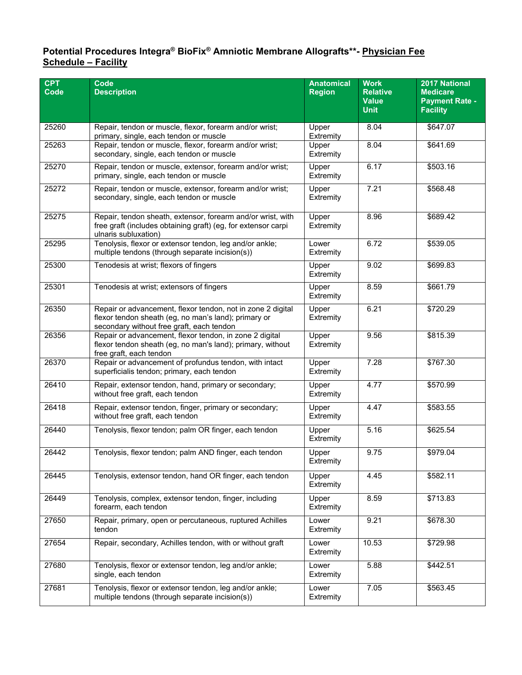#### **Potential Procedures Integra® BioFix® Amniotic Membrane Allografts\*\*- Physician Fee Schedule – Facility**

| <b>CPT</b> | <b>Code</b>                                                                                                                                                                                    | <b>Anatomical</b>  | <b>Work</b>                     | 2017 National                            |
|------------|------------------------------------------------------------------------------------------------------------------------------------------------------------------------------------------------|--------------------|---------------------------------|------------------------------------------|
| Code       | <b>Description</b>                                                                                                                                                                             | <b>Region</b>      | <b>Relative</b><br><b>Value</b> | <b>Medicare</b><br><b>Payment Rate -</b> |
|            |                                                                                                                                                                                                |                    | <b>Unit</b>                     | <b>Facility</b>                          |
| 25260      | Repair, tendon or muscle, flexor, forearm and/or wrist;<br>primary, single, each tendon or muscle                                                                                              | Upper<br>Extremity | 8.04                            | \$647.07                                 |
| 25263      | Repair, tendon or muscle, flexor, forearm and/or wrist;<br>secondary, single, each tendon or muscle                                                                                            | Upper<br>Extremity | 8.04                            | \$641.69                                 |
| 25270      | Repair, tendon or muscle, extensor, forearm and/or wrist;<br>primary, single, each tendon or muscle                                                                                            | Upper<br>Extremity | 6.17                            | \$503.16                                 |
| 25272      | Repair, tendon or muscle, extensor, forearm and/or wrist;<br>secondary, single, each tendon or muscle                                                                                          | Upper<br>Extremity | 7.21                            | \$568.48                                 |
| 25275      | Repair, tendon sheath, extensor, forearm and/or wrist, with<br>free graft (includes obtaining graft) (eg, for extensor carpi<br>ulnaris subluxation)                                           | Upper<br>Extremity | 8.96                            | \$689.42                                 |
| 25295      | Tenolysis, flexor or extensor tendon, leg and/or ankle;<br>multiple tendons (through separate incision(s))                                                                                     | Lower<br>Extremity | 6.72                            | \$539.05                                 |
| 25300      | Tenodesis at wrist; flexors of fingers                                                                                                                                                         | Upper<br>Extremity | 9.02                            | \$699.83                                 |
| 25301      | Tenodesis at wrist; extensors of fingers<br>8.59<br>Upper<br>Extremity                                                                                                                         |                    | \$661.79                        |                                          |
| 26350      | Repair or advancement, flexor tendon, not in zone 2 digital<br>6.21<br>Upper<br>flexor tendon sheath (eg, no man's land); primary or<br>Extremity<br>secondary without free graft, each tendon |                    |                                 | \$720.29                                 |
| 26356      | Repair or advancement, flexor tendon, in zone 2 digital<br>Upper<br>9.56<br>flexor tendon sheath (eg, no man's land); primary, without<br>Extremity<br>free graft, each tendon                 |                    | \$815.39                        |                                          |
| 26370      | Repair or advancement of profundus tendon, with intact<br>7.28<br>Upper<br>superficialis tendon; primary, each tendon<br>Extremity                                                             |                    | \$767.30                        |                                          |
| 26410      | Repair, extensor tendon, hand, primary or secondary;<br>without free graft, each tendon                                                                                                        | Upper<br>Extremity | 4.77                            | \$570.99                                 |
| 26418      | Repair, extensor tendon, finger, primary or secondary;<br>without free graft, each tendon                                                                                                      | Upper<br>Extremity | 4.47                            | \$583.55                                 |
| 26440      | Tenolysis, flexor tendon; palm OR finger, each tendon                                                                                                                                          | Upper<br>Extremity | 5.16                            | \$625.54                                 |
| 26442      | Tenolysis, flexor tendon; palm AND finger, each tendon<br>Upper<br>9.75<br>Extremity                                                                                                           |                    | \$979.04                        |                                          |
| 26445      | Tenolysis, extensor tendon, hand OR finger, each tendon<br>4.45<br>Upper<br>Extremity                                                                                                          |                    | \$582.11                        |                                          |
| 26449      | 8.59<br>Tenolysis, complex, extensor tendon, finger, including<br>Upper<br>forearm, each tendon<br>Extremity                                                                                   |                    | \$713.83                        |                                          |
| 27650      | Repair, primary, open or percutaneous, ruptured Achilles<br>9.21<br>Lower<br>Extremity<br>tendon                                                                                               |                    | \$678.30                        |                                          |
| 27654      | Repair, secondary, Achilles tendon, with or without graft<br>Lower<br>Extremity                                                                                                                |                    | 10.53                           | \$729.98                                 |
| 27680      | Tenolysis, flexor or extensor tendon, leg and/or ankle;<br>single, each tendon                                                                                                                 | Lower<br>Extremity | 5.88                            | \$442.51                                 |
| 27681      | Tenolysis, flexor or extensor tendon, leg and/or ankle;<br>multiple tendons (through separate incision(s))                                                                                     | Lower<br>Extremity | 7.05                            | \$563.45                                 |